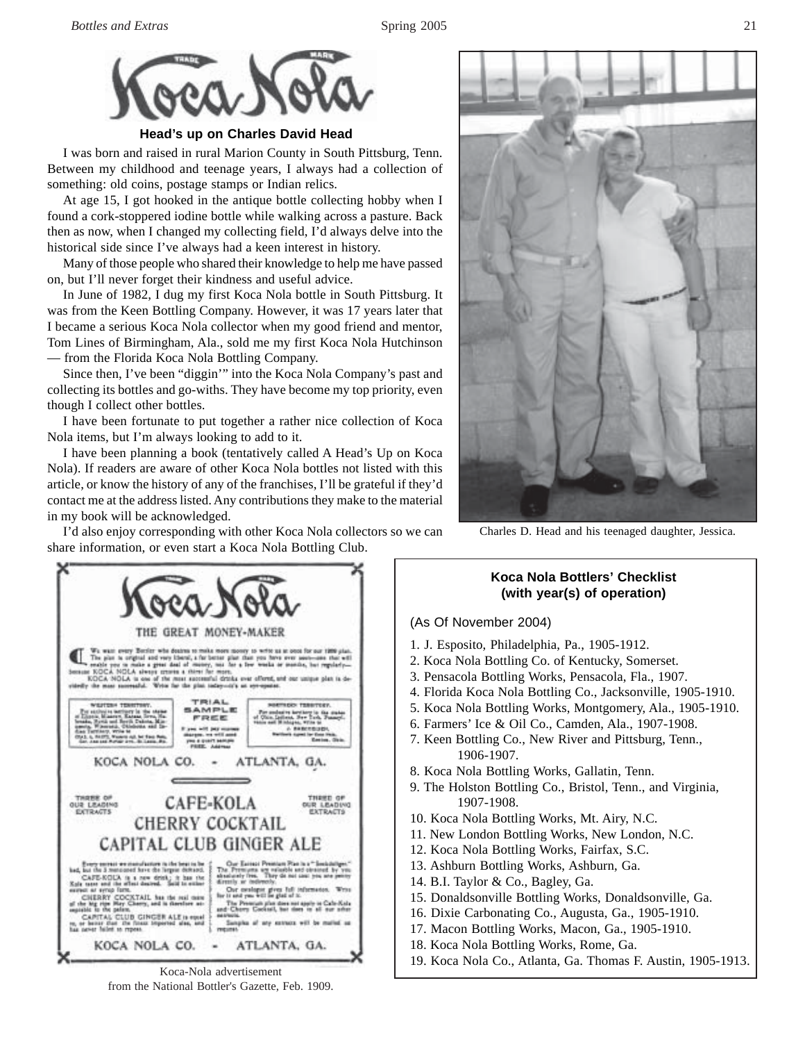

**Head's up on Charles David Head**

I was born and raised in rural Marion County in South Pittsburg, Tenn. Between my childhood and teenage years, I always had a collection of something: old coins, postage stamps or Indian relics.

At age 15, I got hooked in the antique bottle collecting hobby when I found a cork-stoppered iodine bottle while walking across a pasture. Back then as now, when I changed my collecting field, I'd always delve into the historical side since I've always had a keen interest in history.

Many of those people who shared their knowledge to help me have passed on, but I'll never forget their kindness and useful advice.

In June of 1982, I dug my first Koca Nola bottle in South Pittsburg. It was from the Keen Bottling Company. However, it was 17 years later that I became a serious Koca Nola collector when my good friend and mentor, Tom Lines of Birmingham, Ala., sold me my first Koca Nola Hutchinson — from the Florida Koca Nola Bottling Company.

Since then, I've been "diggin'" into the Koca Nola Company's past and collecting its bottles and go-withs. They have become my top priority, even though I collect other bottles.

I have been fortunate to put together a rather nice collection of Koca Nola items, but I'm always looking to add to it.

I have been planning a book (tentatively called A Head's Up on Koca Nola). If readers are aware of other Koca Nola bottles not listed with this article, or know the history of any of the franchises, I'll be grateful if they'd contact me at the address listed. Any contributions they make to the material in my book will be acknowledged.



Charles D. Head and his teenaged daughter, Jessica.

I'd also enjoy corresponding with other Koca Nola collectors so we can share information, or even start a Koca Nola Bottling Club.



Koca-Nola advertisement from the National Bottler's Gazette, Feb. 1909.

### **Koca Nola Bottlers' Checklist (with year(s) of operation)**

#### (As Of November 2004)

- 1. J. Esposito, Philadelphia, Pa., 1905-1912.
- 2. Koca Nola Bottling Co. of Kentucky, Somerset.
- 3. Pensacola Bottling Works, Pensacola, Fla., 1907.
- 4. Florida Koca Nola Bottling Co., Jacksonville, 1905-1910.
- 5. Koca Nola Bottling Works, Montgomery, Ala., 1905-1910.
- 6. Farmers' Ice & Oil Co., Camden, Ala., 1907-1908.
- 7. Keen Bottling Co., New River and Pittsburg, Tenn., 1906-1907.
- 8. Koca Nola Bottling Works, Gallatin, Tenn.
- 9. The Holston Bottling Co., Bristol, Tenn., and Virginia, 1907-1908.
- 10. Koca Nola Bottling Works, Mt. Airy, N.C.
- 11. New London Bottling Works, New London, N.C.
- 12. Koca Nola Bottling Works, Fairfax, S.C.
- 13. Ashburn Bottling Works, Ashburn, Ga.
- 14. B.I. Taylor & Co., Bagley, Ga.
- 15. Donaldsonville Bottling Works, Donaldsonville, Ga.
- 16. Dixie Carbonating Co., Augusta, Ga., 1905-1910.
- 17. Macon Bottling Works, Macon, Ga., 1905-1910.
- 18. Koca Nola Bottling Works, Rome, Ga.
- 19. Koca Nola Co., Atlanta, Ga. Thomas F. Austin, 1905-1913.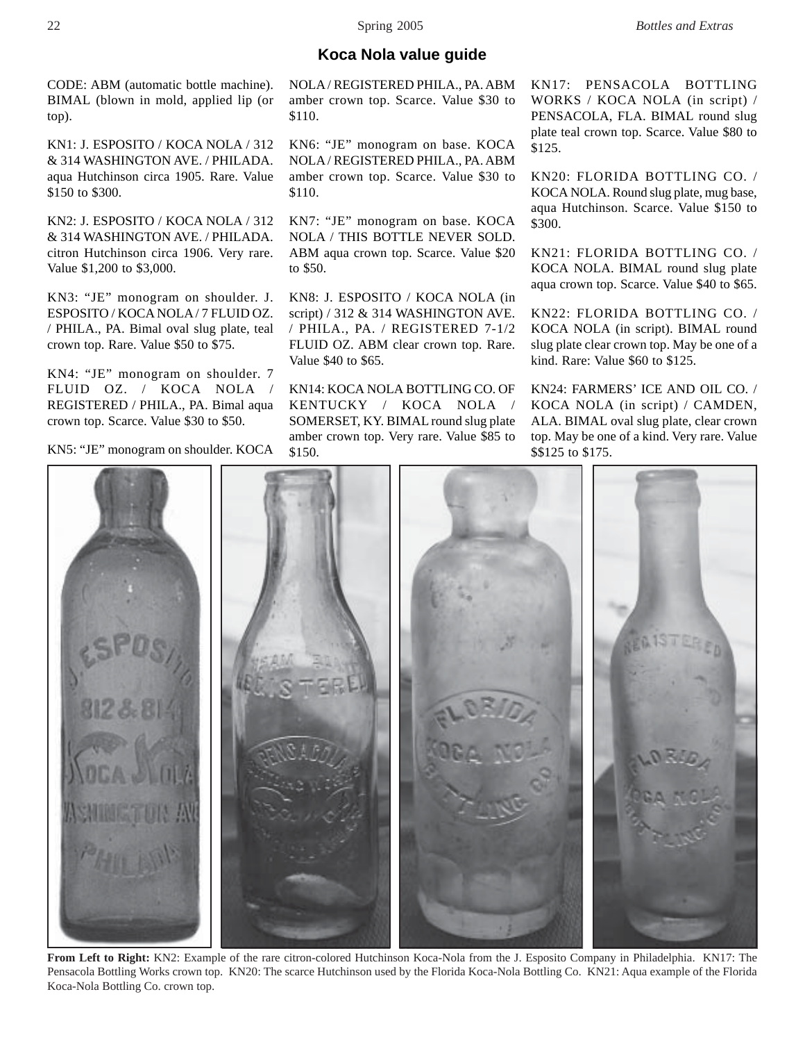### **Koca Nola value guide**

CODE: ABM (automatic bottle machine). BIMAL (blown in mold, applied lip (or top).

KN1: J. ESPOSITO / KOCA NOLA / 312 & 314 WASHINGTON AVE. / PHILADA. aqua Hutchinson circa 1905. Rare. Value \$150 to \$300.

KN2: J. ESPOSITO / KOCA NOLA / 312 & 314 WASHINGTON AVE. / PHILADA. citron Hutchinson circa 1906. Very rare. Value \$1,200 to \$3,000.

KN3: "JE" monogram on shoulder. J. ESPOSITO / KOCA NOLA / 7 FLUID OZ. / PHILA., PA. Bimal oval slug plate, teal crown top. Rare. Value \$50 to \$75.

KN4: "JE" monogram on shoulder. 7 FLUID OZ. / KOCA NOLA REGISTERED / PHILA., PA. Bimal aqua crown top. Scarce. Value \$30 to \$50.

KN5: "JE" monogram on shoulder. KOCA

NOLA / REGISTERED PHILA., PA. ABM amber crown top. Scarce. Value \$30 to \$110.

KN6: "JE" monogram on base. KOCA NOLA / REGISTERED PHILA., PA. ABM amber crown top. Scarce. Value \$30 to \$110.

KN7: "JE" monogram on base. KOCA NOLA / THIS BOTTLE NEVER SOLD. ABM aqua crown top. Scarce. Value \$20 to \$50.

KN8: J. ESPOSITO / KOCA NOLA (in script) / 312 & 314 WASHINGTON AVE. / PHILA., PA. / REGISTERED 7-1/2 FLUID OZ. ABM clear crown top. Rare. Value \$40 to \$65.

KN14: KOCA NOLA BOTTLING CO. OF KENTUCKY / KOCA NOLA / SOMERSET, KY. BIMAL round slug plate amber crown top. Very rare. Value \$85 to \$150.

KN17: PENSACOLA BOTTLING WORKS / KOCA NOLA (in script) / PENSACOLA, FLA. BIMAL round slug plate teal crown top. Scarce. Value \$80 to \$125.

KN20: FLORIDA BOTTLING CO. / KOCA NOLA. Round slug plate, mug base, aqua Hutchinson. Scarce. Value \$150 to \$300.

KN21: FLORIDA BOTTLING CO. / KOCA NOLA. BIMAL round slug plate aqua crown top. Scarce. Value \$40 to \$65.

KN22: FLORIDA BOTTLING CO. / KOCA NOLA (in script). BIMAL round slug plate clear crown top. May be one of a kind. Rare: Value \$60 to \$125.

KN24: FARMERS' ICE AND OIL CO. / KOCA NOLA (in script) / CAMDEN, ALA. BIMAL oval slug plate, clear crown top. May be one of a kind. Very rare. Value \$\$125 to \$175.



**From Left to Right:** KN2: Example of the rare citron-colored Hutchinson Koca-Nola from the J. Esposito Company in Philadelphia. KN17: The Pensacola Bottling Works crown top. KN20: The scarce Hutchinson used by the Florida Koca-Nola Bottling Co. KN21: Aqua example of the Florida Koca-Nola Bottling Co. crown top.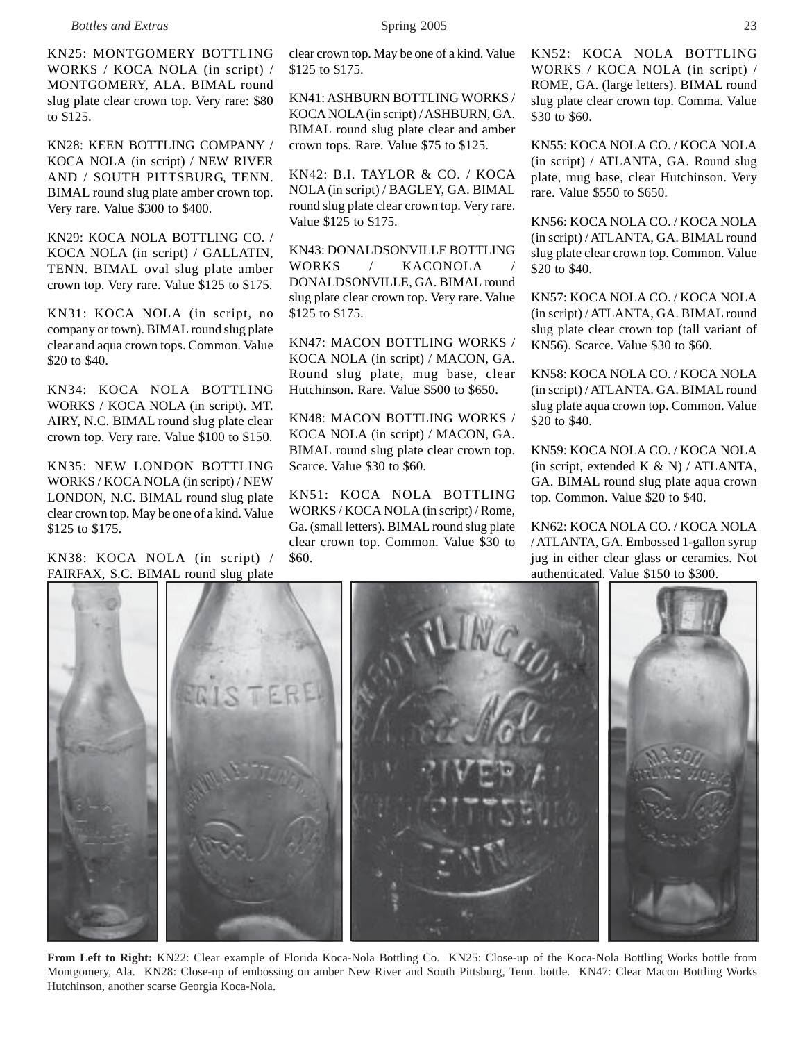KN25: MONTGOMERY BOTTLING WORKS / KOCA NOLA (in script) / MONTGOMERY, ALA. BIMAL round slug plate clear crown top. Very rare: \$80 to \$125.

KN28: KEEN BOTTLING COMPANY / KOCA NOLA (in script) / NEW RIVER AND / SOUTH PITTSBURG, TENN. BIMAL round slug plate amber crown top. Very rare. Value \$300 to \$400.

KN29: KOCA NOLA BOTTLING CO. / KOCA NOLA (in script) / GALLATIN, TENN. BIMAL oval slug plate amber crown top. Very rare. Value \$125 to \$175.

KN31: KOCA NOLA (in script, no company or town). BIMAL round slug plate clear and aqua crown tops. Common. Value \$20 to \$40.

KN34: KOCA NOLA BOTTLING WORKS / KOCA NOLA (in script). MT. AIRY, N.C. BIMAL round slug plate clear crown top. Very rare. Value \$100 to \$150.

KN35: NEW LONDON BOTTLING WORKS / KOCA NOLA (in script) / NEW LONDON, N.C. BIMAL round slug plate clear crown top. May be one of a kind. Value \$125 to \$175.

KN38: KOCA NOLA (in script) / FAIRFAX, S.C. BIMAL round slug plate clear crown top. May be one of a kind. Value \$125 to \$175.

KN41: ASHBURN BOTTLING WORKS / KOCA NOLA (in script) / ASHBURN, GA. BIMAL round slug plate clear and amber crown tops. Rare. Value \$75 to \$125.

KN42: B.I. TAYLOR & CO. / KOCA NOLA (in script) / BAGLEY, GA. BIMAL round slug plate clear crown top. Very rare. Value \$125 to \$175.

KN43: DONALDSONVILLE BOTTLING WORKS / KACONOLA DONALDSONVILLE, GA. BIMAL round slug plate clear crown top. Very rare. Value \$125 to \$175.

KN47: MACON BOTTLING WORKS / KOCA NOLA (in script) / MACON, GA. Round slug plate, mug base, clear Hutchinson. Rare. Value \$500 to \$650.

KN48: MACON BOTTLING WORKS / KOCA NOLA (in script) / MACON, GA. BIMAL round slug plate clear crown top. Scarce. Value \$30 to \$60.

KN51: KOCA NOLA BOTTLING WORKS / KOCA NOLA (in script) / Rome, Ga. (small letters). BIMAL round slug plate clear crown top. Common. Value \$30 to \$60.

KN52: KOCA NOLA BOTTLING WORKS / KOCA NOLA (in script) / ROME, GA. (large letters). BIMAL round slug plate clear crown top. Comma. Value \$30 to \$60.

KN55: KOCA NOLA CO. / KOCA NOLA (in script) / ATLANTA, GA. Round slug plate, mug base, clear Hutchinson. Very rare. Value \$550 to \$650.

KN56: KOCA NOLA CO. / KOCA NOLA (in script) / ATLANTA, GA. BIMAL round slug plate clear crown top. Common. Value \$20 to \$40.

KN57: KOCA NOLA CO. / KOCA NOLA (in script) / ATLANTA, GA. BIMAL round slug plate clear crown top (tall variant of KN56). Scarce. Value \$30 to \$60.

KN58: KOCA NOLA CO. / KOCA NOLA (in script) / ATLANTA. GA. BIMAL round slug plate aqua crown top. Common. Value \$20 to \$40.

KN59: KOCA NOLA CO. / KOCA NOLA (in script, extended K  $\&$  N) / ATLANTA, GA. BIMAL round slug plate aqua crown top. Common. Value \$20 to \$40.

KN62: KOCA NOLA CO. / KOCA NOLA / ATLANTA, GA. Embossed 1-gallon syrup jug in either clear glass or ceramics. Not authenticated. Value \$150 to \$300.



**From Left to Right:** KN22: Clear example of Florida Koca-Nola Bottling Co. KN25: Close-up of the Koca-Nola Bottling Works bottle from Montgomery, Ala. KN28: Close-up of embossing on amber New River and South Pittsburg, Tenn. bottle. KN47: Clear Macon Bottling Works Hutchinson, another scarse Georgia Koca-Nola.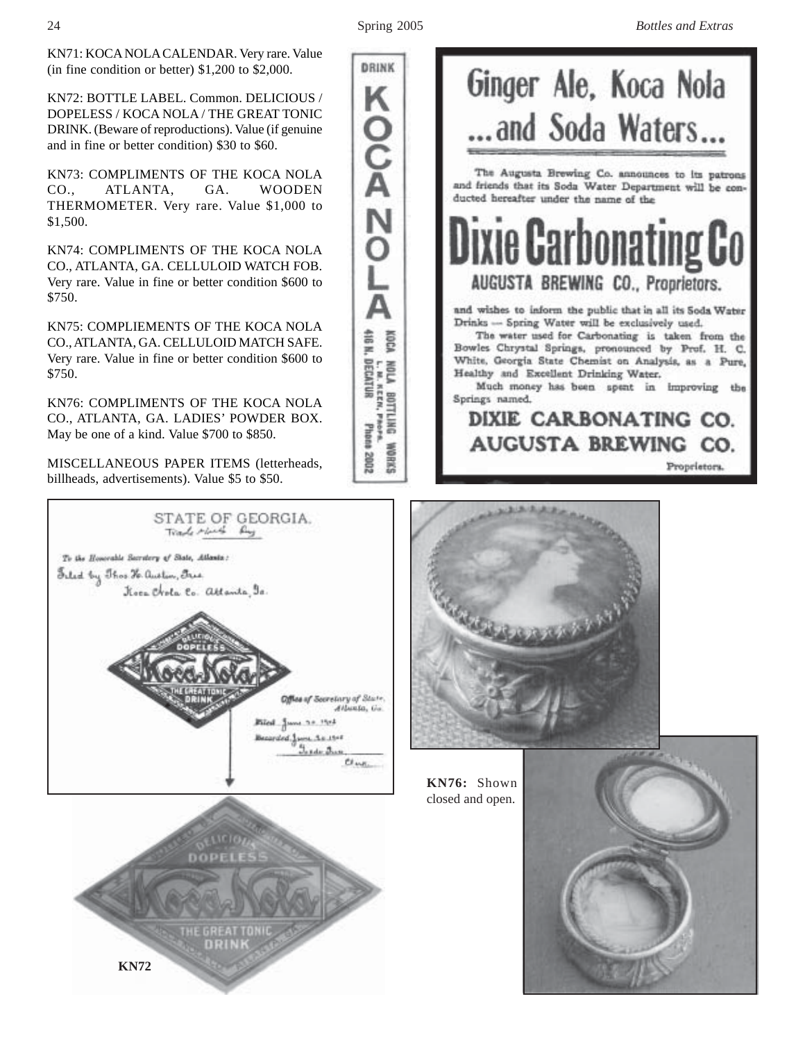**DRINK** 

OZ POOK

L

Δ

A BOTTLING<br>A BOTTLING

**BRANK** 2002

Photons

Phone

KN71: KOCA NOLA CALENDAR. Very rare. Value (in fine condition or better) \$1,200 to \$2,000.

KN72: BOTTLE LABEL. Common. DELICIOUS / DOPELESS / KOCA NOLA / THE GREAT TONIC DRINK. (Beware of reproductions). Value (if genuine and in fine or better condition) \$30 to \$60.

KN73: COMPLIMENTS OF THE KOCA NOLA CO., ATLANTA, GA. WOODEN THERMOMETER. Very rare. Value \$1,000 to \$1,500.

KN74: COMPLIMENTS OF THE KOCA NOLA CO., ATLANTA, GA. CELLULOID WATCH FOB. Very rare. Value in fine or better condition \$600 to \$750.

KN75: COMPLIEMENTS OF THE KOCA NOLA CO., ATLANTA, GA. CELLULOID MATCH SAFE. Very rare. Value in fine or better condition \$600 to \$750.

KN76: COMPLIMENTS OF THE KOCA NOLA CO., ATLANTA, GA. LADIES' POWDER BOX. May be one of a kind. Value \$700 to \$850.

MISCELLANEOUS PAPER ITEMS (letterheads, billheads, advertisements). Value \$5 to \$50.



**KN72**





**KN76:** Shown closed and open.